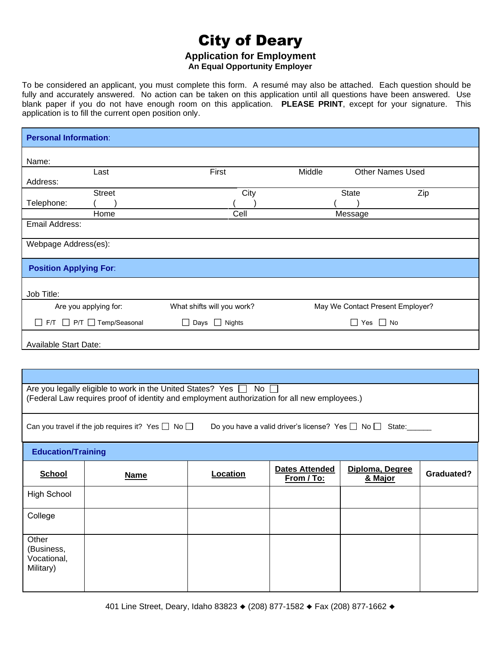# City of Deary **Application for Employment**

**An Equal Opportunity Employer**

To be considered an applicant, you must complete this form. A resumé may also be attached. Each question should be fully and accurately answered. No action can be taken on this application until all questions have been answered. Use blank paper if you do not have enough room on this application. **PLEASE PRINT**, except for your signature. This application is to fill the current open position only.

| <b>Personal Information:</b>                                                                                                                                      |                              |                            |                                     |                                  |                   |  |  |
|-------------------------------------------------------------------------------------------------------------------------------------------------------------------|------------------------------|----------------------------|-------------------------------------|----------------------------------|-------------------|--|--|
| Name:                                                                                                                                                             |                              |                            |                                     |                                  |                   |  |  |
| Address:                                                                                                                                                          | Last                         | First                      | Middle                              | <b>Other Names Used</b>          |                   |  |  |
|                                                                                                                                                                   | <b>Street</b>                | City                       |                                     | <b>State</b>                     | Zip               |  |  |
| Telephone:                                                                                                                                                        | Home                         | Cell                       |                                     |                                  |                   |  |  |
| Email Address:                                                                                                                                                    | Message                      |                            |                                     |                                  |                   |  |  |
|                                                                                                                                                                   | Webpage Address(es):         |                            |                                     |                                  |                   |  |  |
| <b>Position Applying For:</b>                                                                                                                                     |                              |                            |                                     |                                  |                   |  |  |
| Job Title:                                                                                                                                                        |                              |                            |                                     |                                  |                   |  |  |
|                                                                                                                                                                   | Are you applying for:        | What shifts will you work? |                                     | May We Contact Present Employer? |                   |  |  |
| F/T P/T Temp/Seasonal<br>$\Box$ Days $\Box$ Nights<br>$\Box$ Yes $\Box$ No                                                                                        |                              |                            |                                     |                                  |                   |  |  |
|                                                                                                                                                                   | <b>Available Start Date:</b> |                            |                                     |                                  |                   |  |  |
|                                                                                                                                                                   |                              |                            |                                     |                                  |                   |  |  |
|                                                                                                                                                                   |                              |                            |                                     |                                  |                   |  |  |
| Are you legally eligible to work in the United States? Yes □ No □<br>(Federal Law requires proof of identity and employment authorization for all new employees.) |                              |                            |                                     |                                  |                   |  |  |
| Can you travel if the job requires it? Yes $\Box$ No $\Box$<br>Do you have a valid driver's license? Yes □ No □ State:                                            |                              |                            |                                     |                                  |                   |  |  |
| <b>Education/Training</b>                                                                                                                                         |                              |                            |                                     |                                  |                   |  |  |
| <b>School</b>                                                                                                                                                     | <b>Name</b>                  | Location                   | <b>Dates Attended</b><br>From / To: | Diploma, Degree<br>& Major       | <b>Graduated?</b> |  |  |
| <b>High School</b>                                                                                                                                                |                              |                            |                                     |                                  |                   |  |  |
| College                                                                                                                                                           |                              |                            |                                     |                                  |                   |  |  |
| Other<br>(Business,<br>Vocational,<br>Military)                                                                                                                   |                              |                            |                                     |                                  |                   |  |  |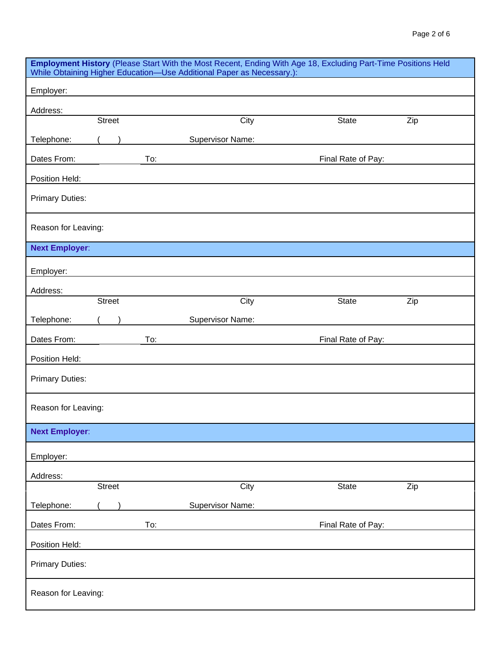| Employment History (Please Start With the Most Recent, Ending With Age 18, Excluding Part-Time Positions Held<br>While Obtaining Higher Education-Use Additional Paper as Necessary.): |               |  |     |                         |      |       |                    |     |
|----------------------------------------------------------------------------------------------------------------------------------------------------------------------------------------|---------------|--|-----|-------------------------|------|-------|--------------------|-----|
| Employer:                                                                                                                                                                              |               |  |     |                         |      |       |                    |     |
| Address:                                                                                                                                                                               |               |  |     |                         |      |       |                    |     |
|                                                                                                                                                                                        | Street        |  |     |                         | City | State |                    | Zip |
| Telephone:                                                                                                                                                                             |               |  |     | Supervisor Name:        |      |       |                    |     |
| Dates From:                                                                                                                                                                            |               |  | To: |                         |      |       | Final Rate of Pay: |     |
| Position Held:                                                                                                                                                                         |               |  |     |                         |      |       |                    |     |
| <b>Primary Duties:</b>                                                                                                                                                                 |               |  |     |                         |      |       |                    |     |
| Reason for Leaving:                                                                                                                                                                    |               |  |     |                         |      |       |                    |     |
| <b>Next Employer:</b>                                                                                                                                                                  |               |  |     |                         |      |       |                    |     |
| Employer:                                                                                                                                                                              |               |  |     |                         |      |       |                    |     |
| Address:                                                                                                                                                                               |               |  |     |                         |      |       |                    |     |
|                                                                                                                                                                                        | <b>Street</b> |  |     |                         | City | State |                    | Zip |
| Telephone:                                                                                                                                                                             |               |  |     | Supervisor Name:        |      |       |                    |     |
| Dates From:                                                                                                                                                                            |               |  | To: |                         |      |       | Final Rate of Pay: |     |
| Position Held:                                                                                                                                                                         |               |  |     |                         |      |       |                    |     |
| <b>Primary Duties:</b>                                                                                                                                                                 |               |  |     |                         |      |       |                    |     |
| Reason for Leaving:                                                                                                                                                                    |               |  |     |                         |      |       |                    |     |
| <b>Next Employer:</b>                                                                                                                                                                  |               |  |     |                         |      |       |                    |     |
| Employer:                                                                                                                                                                              |               |  |     |                         |      |       |                    |     |
| Address:                                                                                                                                                                               |               |  |     |                         |      |       |                    |     |
|                                                                                                                                                                                        | <b>Street</b> |  |     |                         | City | State |                    | Zip |
| Telephone:                                                                                                                                                                             |               |  |     | <b>Supervisor Name:</b> |      |       |                    |     |
| Dates From:                                                                                                                                                                            |               |  | To: |                         |      |       | Final Rate of Pay: |     |
| Position Held:                                                                                                                                                                         |               |  |     |                         |      |       |                    |     |
| <b>Primary Duties:</b>                                                                                                                                                                 |               |  |     |                         |      |       |                    |     |
| Reason for Leaving:                                                                                                                                                                    |               |  |     |                         |      |       |                    |     |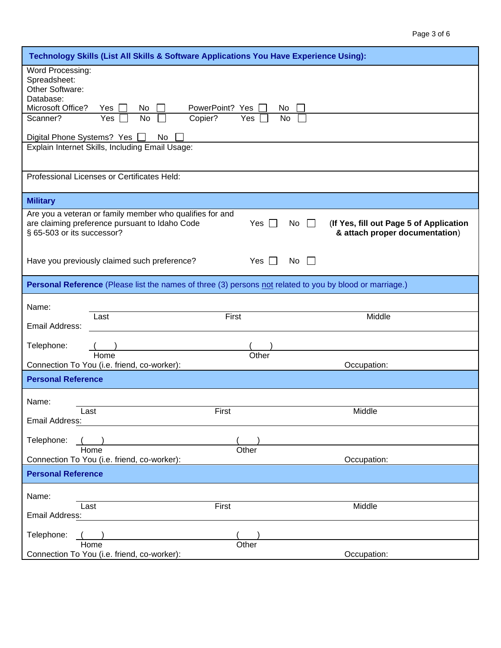| Technology Skills (List All Skills & Software Applications You Have Experience Using):                                                                                                                                                                           |  |
|------------------------------------------------------------------------------------------------------------------------------------------------------------------------------------------------------------------------------------------------------------------|--|
| Word Processing:<br>Spreadsheet:<br>Other Software:<br>Database:<br>Microsoft Office?<br>PowerPoint? Yes<br>Yes<br>No.<br>No                                                                                                                                     |  |
| No<br>Copier?<br>Scanner?<br>Yes<br>Yes<br>No                                                                                                                                                                                                                    |  |
| Digital Phone Systems? Yes<br>No                                                                                                                                                                                                                                 |  |
| Explain Internet Skills, Including Email Usage:                                                                                                                                                                                                                  |  |
| Professional Licenses or Certificates Held:                                                                                                                                                                                                                      |  |
| <b>Military</b>                                                                                                                                                                                                                                                  |  |
| Are you a veteran or family member who qualifies for and<br>are claiming preference pursuant to Idaho Code<br>Yes  <br>(If Yes, fill out Page 5 of Application<br>No<br>$\overline{\phantom{a}}$<br>§ 65-503 or its successor?<br>& attach proper documentation) |  |
| Yes $\Box$<br>Have you previously claimed such preference?<br>No                                                                                                                                                                                                 |  |
| Personal Reference (Please list the names of three (3) persons not related to you by blood or marriage.)                                                                                                                                                         |  |
| Name:                                                                                                                                                                                                                                                            |  |
| Middle<br>Last<br>First<br>Email Address:                                                                                                                                                                                                                        |  |
| Telephone:                                                                                                                                                                                                                                                       |  |
| Home<br>Other<br>Connection To You (i.e. friend, co-worker):<br>Occupation:                                                                                                                                                                                      |  |
| <b>Personal Reference</b>                                                                                                                                                                                                                                        |  |
| Name:                                                                                                                                                                                                                                                            |  |
| Middle<br>First<br>Last<br>Email Address:                                                                                                                                                                                                                        |  |
| Telephone:                                                                                                                                                                                                                                                       |  |
| Other<br>Home<br>Connection To You (i.e. friend, co-worker):<br>Occupation:                                                                                                                                                                                      |  |
| <b>Personal Reference</b>                                                                                                                                                                                                                                        |  |
| Name:                                                                                                                                                                                                                                                            |  |
| First<br>Middle<br>Last                                                                                                                                                                                                                                          |  |
| Email Address:                                                                                                                                                                                                                                                   |  |
| Telephone:<br>Other<br>Home                                                                                                                                                                                                                                      |  |
| Connection To You (i.e. friend, co-worker):<br>Occupation:                                                                                                                                                                                                       |  |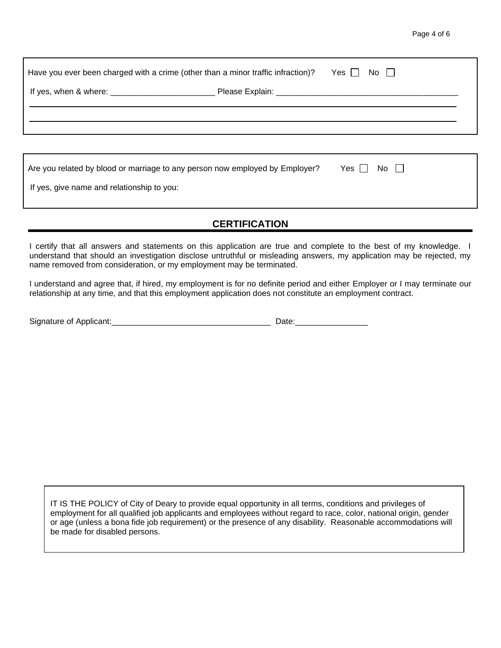| Have you ever been charged with a crime (other than a minor traffic infraction)? | Yes    <br>No II |                  |  |
|----------------------------------------------------------------------------------|------------------|------------------|--|
|                                                                                  |                  |                  |  |
|                                                                                  |                  |                  |  |
|                                                                                  |                  |                  |  |
| Are you related by blood or marriage to any person now employed by Employer?     |                  | Yes    <br>No II |  |

If yes, give name and relationship to you:

## **CERTIFICATION**

I certify that all answers and statements on this application are true and complete to the best of my knowledge. I understand that should an investigation disclose untruthful or misleading answers, my application may be rejected, my name removed from consideration, or my employment may be terminated.

I understand and agree that, if hired, my employment is for no definite period and either Employer or I may terminate our relationship at any time, and that this employment application does not constitute an employment contract.

| Signature of Applicant: |  |
|-------------------------|--|
|                         |  |

IT IS THE POLICY of City of Deary to provide equal opportunity in all terms, conditions and privileges of employment for all qualified job applicants and employees without regard to race, color, national origin, gender or age (unless a bona fide job requirement) or the presence of any disability. Reasonable accommodations will be made for disabled persons.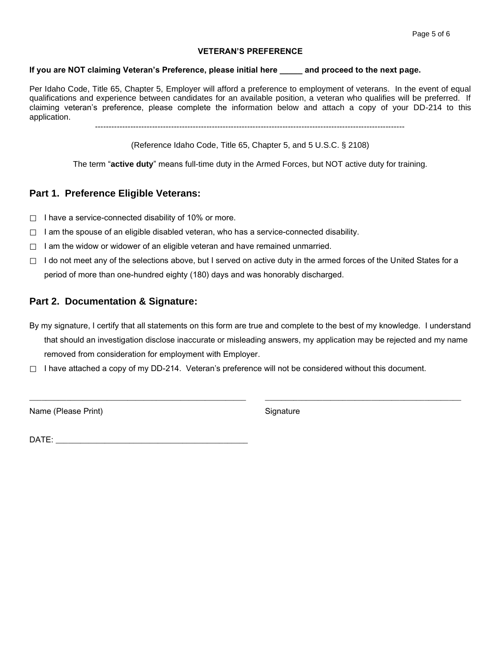#### **VETERAN'S PREFERENCE**

### **If you are NOT claiming Veteran's Preference, please initial here \_\_\_\_\_ and proceed to the next page.**

Per Idaho Code, Title 65, Chapter 5, Employer will afford a preference to employment of veterans. In the event of equal qualifications and experience between candidates for an available position, a veteran who qualifies will be preferred. If claiming veteran's preference, please complete the information below and attach a copy of your DD-214 to this application.

------------------------------------------------------------------------------------------------------------------

(Reference Idaho Code, Title 65, Chapter 5, and 5 U.S.C. § 2108)

The term "**active duty**" means full-time duty in the Armed Forces, but NOT active duty for training.

## **Part 1. Preference Eligible Veterans:**

- $\Box$  I have a service-connected disability of 10% or more.
- $\Box$  I am the spouse of an eligible disabled veteran, who has a service-connected disability.
- $\Box$  I am the widow or widower of an eligible veteran and have remained unmarried.
- $\Box$  I do not meet any of the selections above, but I served on active duty in the armed forces of the United States for a period of more than one-hundred eighty (180) days and was honorably discharged.

## **Part 2. Documentation & Signature:**

By my signature, I certify that all statements on this form are true and complete to the best of my knowledge. I understand that should an investigation disclose inaccurate or misleading answers, my application may be rejected and my name removed from consideration for employment with Employer.

\_\_\_\_\_\_\_\_\_\_\_\_\_\_\_\_\_\_\_\_\_\_\_\_\_\_\_\_\_\_\_\_\_\_\_\_\_\_\_\_\_\_\_\_\_\_\_\_\_\_\_\_\_ \_\_\_\_\_\_\_\_\_\_\_\_\_\_\_\_\_\_\_\_\_\_\_\_\_\_\_\_\_\_\_\_\_\_\_\_\_\_\_\_\_\_\_\_\_\_\_\_

 $\Box$  I have attached a copy of my DD-214. Veteran's preference will not be considered without this document.

Name (Please Print) Signature

 $\blacksquare$   $\blacksquare$